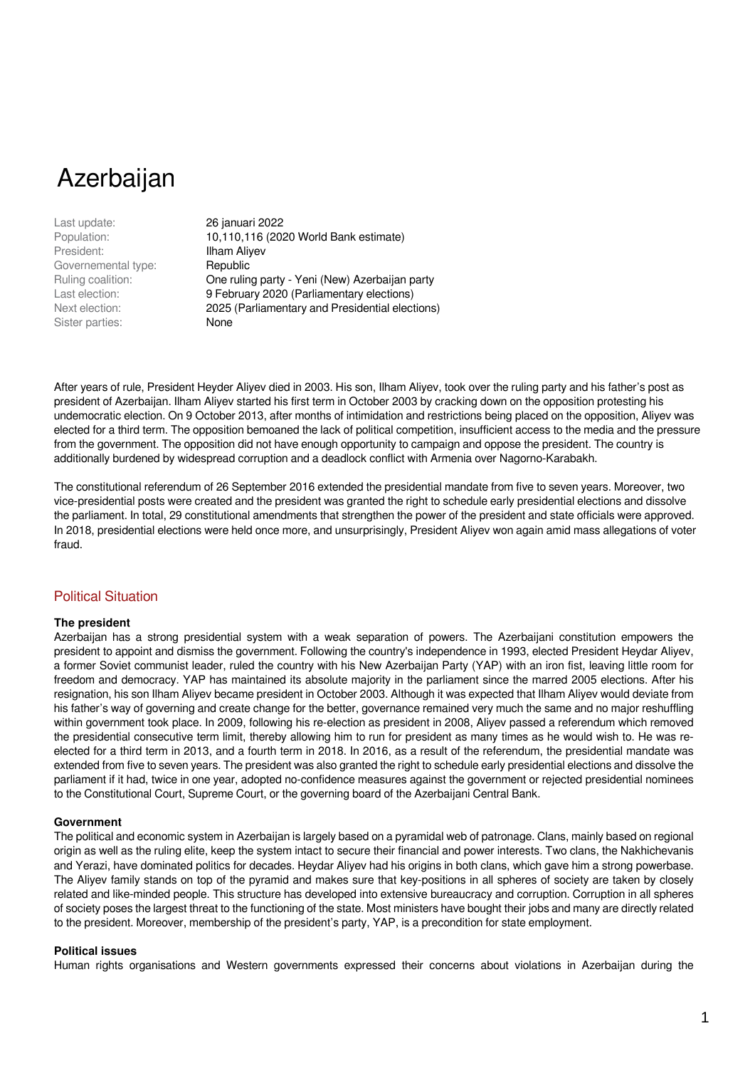Azerbaijan

Last update: 26 januari 2022 President: **Ilham Aliyev** Governemental type: Republic Sister parties: None

Population: 10,110,116 (2020 World Bank estimate) Ruling coalition: One ruling party - Yeni (New) Azerbaijan party Last election: 9 February 2020 (Parliamentary elections) Next election: 2025 (Parliamentary and Presidential elections)

After years of rule, President Heyder Aliyev died in 2003. His son, Ilham Aliyev, took over the ruling party and his father's post as president of Azerbaijan. Ilham Aliyev started his first term in October 2003 by cracking down on the opposition protesting his undemocratic election. On 9 October 2013, after months of intimidation and restrictions being placed on the opposition, Aliyev was elected for a third term. The opposition bemoaned the lack of political competition, insufficient access to the media and the pressure from the government. The opposition did not have enough opportunity to campaign and oppose the president. The country is additionally burdened by widespread corruption and a deadlock conflict with Armenia over Nagorno-Karabakh.

The constitutional referendum of 26 September 2016 extended the presidential mandate from five to seven years. Moreover, two vice-presidential posts were created and the president was granted the right to schedule early presidential elections and dissolve the parliament. In total, 29 constitutional amendments that strengthen the power of the president and state officials were approved. In 2018, presidential elections were held once more, and unsurprisingly, President Aliyev won again amid mass allegations of voter fraud.

## Political Situation

### **The president**

Azerbaijan has a strong presidential system with a weak separation of powers. The Azerbaijani constitution empowers the president to appoint and dismiss the government. Following the country's independence in 1993, elected President Heydar Aliyev, a former Soviet communist leader, ruled the country with his New Azerbaijan Party (YAP) with an iron fist, leaving little room for freedom and democracy. YAP has maintained its absolute majority in the parliament since the marred 2005 elections. After his resignation, his son Ilham Aliyev became president in October 2003. Although it was expected that Ilham Aliyev would deviate from his father's way of governing and create change for the better, governance remained very much the same and no major reshuffling within government took place. In 2009, following his re-election as president in 2008, Aliyev passed a referendum which removed the presidential consecutive term limit, thereby allowing him to run for president as many times as he would wish to. He was reelected for a third term in 2013, and a fourth term in 2018. In 2016, as a result of the referendum, the presidential mandate was extended from five to seven years. The president was also granted the right to schedule early presidential elections and dissolve the parliament if it had, twice in one year, adopted no-confidence measures against the government or rejected presidential nominees to the Constitutional Court, Supreme Court, or the governing board of the Azerbaijani Central Bank.

### **Government**

The political and economic system in Azerbaijan is largely based on a pyramidal web of patronage. Clans, mainly based on regional origin as well as the ruling elite, keep the system intact to secure their financial and power interests. Two clans, the Nakhichevanis and Yerazi, have dominated politics for decades. Heydar Aliyev had his origins in both clans, which gave him a strong powerbase. The Aliyev family stands on top of the pyramid and makes sure that key-positions in all spheres of society are taken by closely related and like-minded people. This structure has developed into extensive bureaucracy and corruption. Corruption in all spheres of society poses the largest threat to the functioning of the state. Most ministers have bought their jobs and many are directly related to the president. Moreover, membership of the president's party, YAP, is a precondition for state employment.

## **Political issues**

Human rights organisations and Western governments expressed their concerns about violations in Azerbaijan during the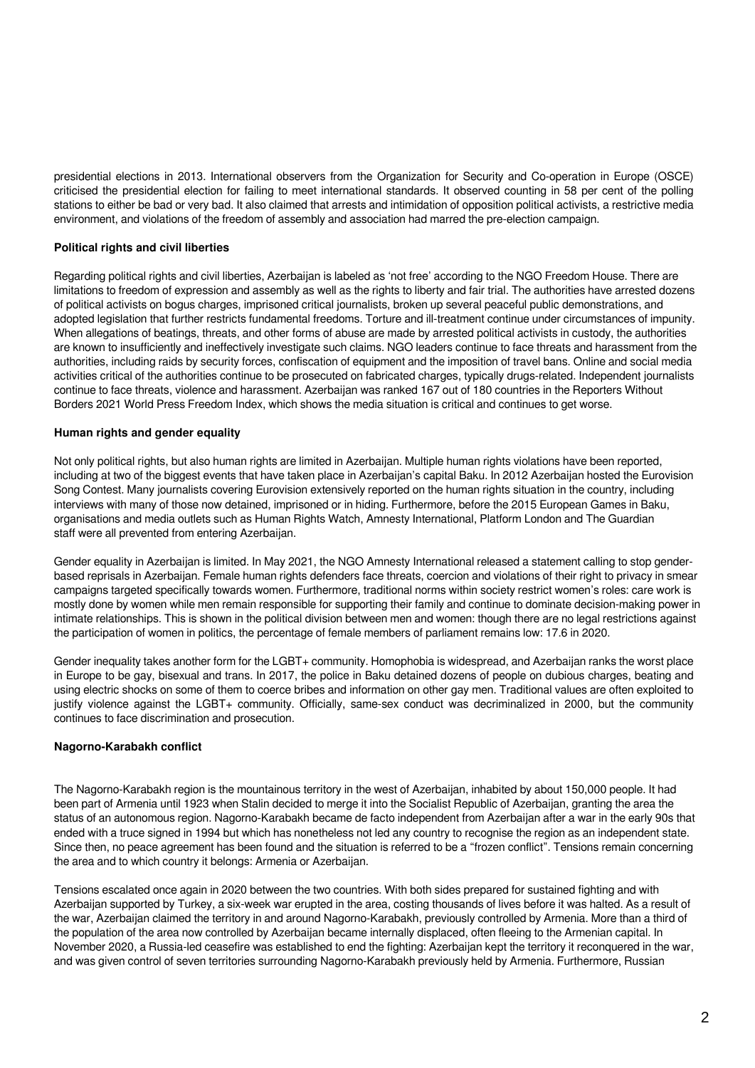presidential elections in 2013. International observers from the Organization for Security and Co-operation in Europe (OSCE) criticised the presidential election for failing to meet international standards. It observed counting in 58 per cent of the polling stations to either be bad or very bad. It also claimed that arrests and intimidation of opposition political activists, a restrictive media environment, and violations of the freedom of assembly and association had marred the pre-election campaign.

## **Political rights and civil liberties**

Regarding political rights and civil liberties, Azerbaijan is labeled as 'not free' according to the NGO Freedom House. There are limitations to freedom of expression and assembly as well as the rights to liberty and fair trial. The authorities have arrested dozens of political activists on bogus charges, imprisoned critical journalists, broken up several peaceful public demonstrations, and adopted legislation that further restricts fundamental freedoms. Torture and ill-treatment continue under circumstances of impunity. When allegations of beatings, threats, and other forms of abuse are made by arrested political activists in custody, the authorities are known to insufficiently and ineffectively investigate such claims. NGO leaders continue to face threats and harassment from the authorities, including raids by security forces, confiscation of equipment and the imposition of travel bans. Online and social media activities critical of the authorities continue to be prosecuted on fabricated charges, typically drugs-related. Independent journalists continue to face threats, violence and harassment. Azerbaijan was ranked 167 out of 180 countries in the Reporters Without Borders 2021 World Press Freedom Index, which shows the media situation is critical and continues to get worse.

### **Human rights and gender equality**

Not only political rights, but also human rights are limited in Azerbaijan. Multiple human rights violations have been reported, including at two of the biggest events that have taken place in Azerbaijan's capital Baku. In 2012 Azerbaijan hosted the Eurovision Song Contest. Many journalists covering Eurovision extensively reported on the human rights situation in the country, including interviews with many of those now detained, imprisoned or in hiding. Furthermore, before the 2015 European Games in Baku, organisations and media outlets such as Human Rights Watch, Amnesty International, Platform London and The Guardian staff were all prevented from entering Azerbaijan.

Gender equality in Azerbaijan is limited. In May 2021, the NGO Amnesty International released a statement calling to stop genderbased reprisals in Azerbaijan. Female human rights defenders face threats, coercion and violations of their right to privacy in smear campaigns targeted specifically towards women. Furthermore, traditional norms within society restrict women's roles: care work is mostly done by women while men remain responsible for supporting their family and continue to dominate decision-making power in intimate relationships. This is shown in the political division between men and women: though there are no legal restrictions against the participation of women in politics, the percentage of female members of parliament remains low: 17.6 in 2020.

Gender inequality takes another form for the LGBT+ community. Homophobia is widespread, and Azerbaijan ranks the worst place in Europe to be gay, bisexual and trans. In 2017, the police in Baku detained dozens of people on dubious charges, beating and using electric shocks on some of them to coerce bribes and information on other gay men. Traditional values are often exploited to justify violence against the LGBT+ community. Officially, same-sex conduct was decriminalized in 2000, but the community continues to face discrimination and prosecution.

### **Nagorno-Karabakh conflict**

The Nagorno-Karabakh region is the mountainous territory in the west of Azerbaijan, inhabited by about 150,000 people. It had been part of Armenia until 1923 when Stalin decided to merge it into the Socialist Republic of Azerbaijan, granting the area the status of an autonomous region. Nagorno-Karabakh became de facto independent from Azerbaijan after a war in the early 90s that ended with a truce signed in 1994 but which has nonetheless not led any country to recognise the region as an independent state. Since then, no peace agreement has been found and the situation is referred to be a "frozen conflict". Tensions remain concerning the area and to which country it belongs: Armenia or Azerbaijan.

Tensions escalated once again in 2020 between the two countries. With both sides prepared for sustained fighting and with Azerbaijan supported by Turkey, a six-week war erupted in the area, costing thousands of lives before it was halted. As a result of the war, Azerbaijan claimed the territory in and around Nagorno-Karabakh, previously controlled by Armenia. More than a third of the population of the area now controlled by Azerbaijan became internally displaced, often fleeing to the Armenian capital. In November 2020, a Russia-led ceasefire was established to end the fighting: Azerbaijan kept the territory it reconquered in the war, and was given control of seven territories surrounding Nagorno-Karabakh previously held by Armenia. Furthermore, Russian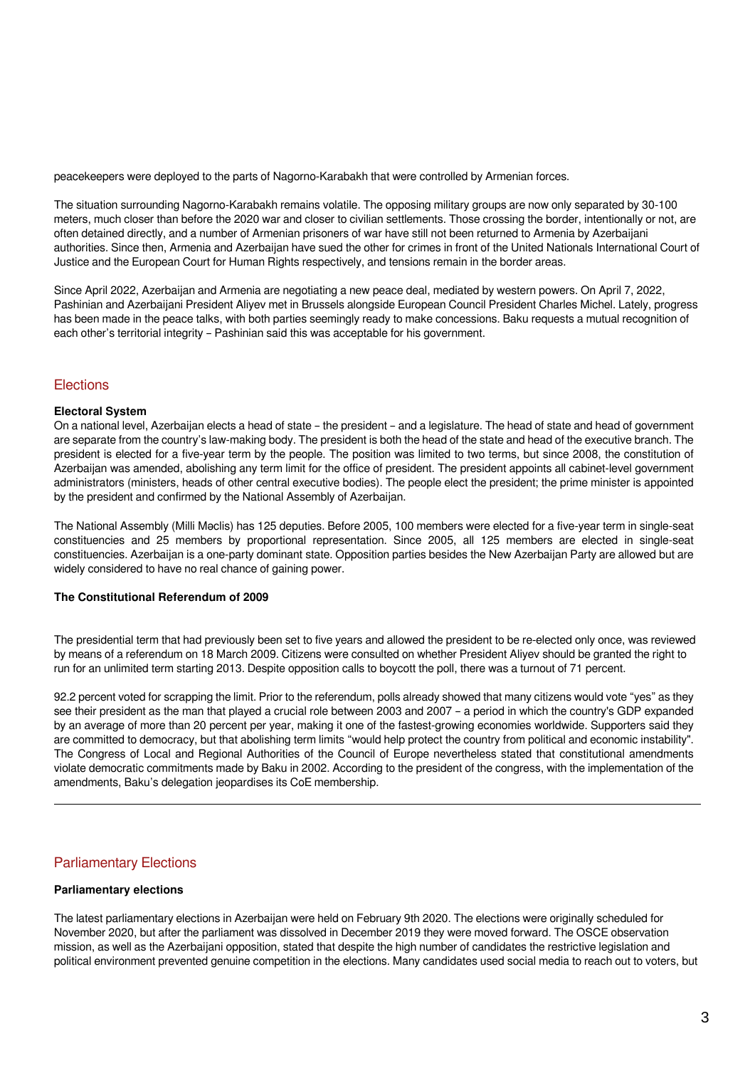peacekeepers were deployed to the parts of Nagorno-Karabakh that were controlled by Armenian forces.

The situation surrounding Nagorno-Karabakh remains volatile. The opposing military groups are now only separated by 30-100 meters, much closer than before the 2020 war and closer to civilian settlements. Those crossing the border, intentionally or not, are often detained directly, and a number of Armenian prisoners of war have still not been returned to Armenia by Azerbaijani authorities. Since then, Armenia and Azerbaijan have sued the other for crimes in front of the United Nationals International Court of Justice and the European Court for Human Rights respectively, and tensions remain in the border areas.

Since April 2022, Azerbaijan and Armenia are negotiating a new peace deal, mediated by western powers. On April 7, 2022, Pashinian and Azerbaijani President Aliyev met in Brussels alongside European Council President Charles Michel. Lately, progress has been made in the peace talks, with both parties seemingly ready to make concessions. Baku requests a mutual recognition of each other's territorial integrity – Pashinian said this was acceptable for his government.

# **Elections**

### **Electoral System**

On a national level, Azerbaijan elects a head of state – the president – and a legislature. The head of state and head of government are separate from the country's law-making body. The president is both the head of the state and head of the executive branch. The president is elected for a five-year term by the people. The position was limited to two terms, but since 2008, the constitution of Azerbaijan was amended, abolishing any term limit for the office of president. The president appoints all cabinet-level government administrators (ministers, heads of other central executive bodies). The people elect the president; the prime minister is appointed by the president and confirmed by the National Assembly of Azerbaijan.

The National Assembly (Milli Məclis) has 125 deputies. Before 2005, 100 members were elected for a five-year term in single-seat constituencies and 25 members by proportional representation. Since 2005, all 125 members are elected in single-seat constituencies. Azerbaijan is a one-party dominant state. Opposition parties besides the New Azerbaijan Party are allowed but are widely considered to have no real chance of gaining power.

## **The Constitutional Referendum of 2009**

The presidential term that had previously been set to five years and allowed the president to be re-elected only once, was reviewed by means of a referendum on 18 March 2009. Citizens were consulted on whether President Aliyev should be granted the right to run for an unlimited term starting 2013. Despite opposition calls to boycott the poll, there was a turnout of 71 percent.

92.2 percent voted for scrapping the limit. Prior to the referendum, polls already showed that many citizens would vote "yes" as they see their president as the man that played a crucial role between 2003 and 2007 – a period in which the country's GDP expanded by an average of more than 20 percent per year, making it one of the fastest-growing economies worldwide. Supporters said they are committed to democracy, but that abolishing term limits "would help protect the country from political and economic instability". The Congress of Local and Regional Authorities of the Council of Europe nevertheless stated that constitutional amendments violate democratic commitments made by Baku in 2002. According to the president of the congress, with the implementation of the amendments, Baku's delegation jeopardises its CoE membership.

## Parliamentary Elections

#### **Parliamentary elections**

The latest parliamentary elections in Azerbaijan were held on February 9th 2020. The elections were originally scheduled for November 2020, but after the parliament was dissolved in December 2019 they were moved forward. The OSCE observation mission, as well as the Azerbaijani opposition, stated that despite the high number of candidates the restrictive legislation and political environment prevented genuine competition in the elections. Many candidates used social media to reach out to voters, but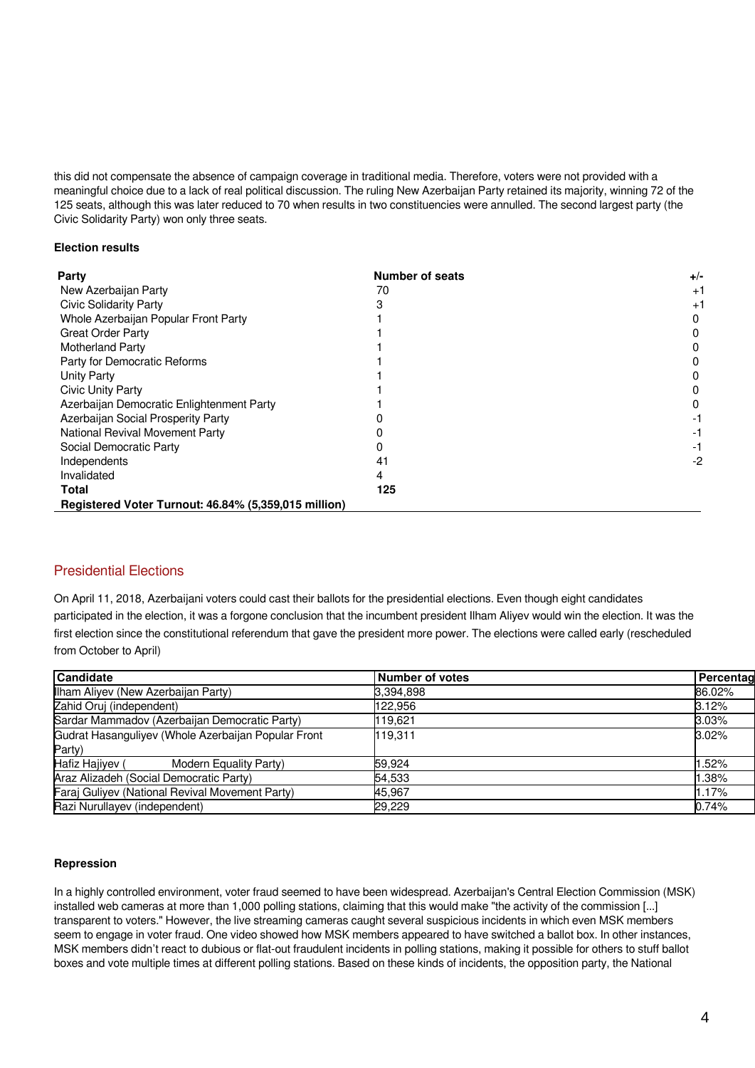this did not compensate the absence of campaign coverage in traditional media. Therefore, voters were not provided with a meaningful choice due to a lack of real political discussion. The ruling New Azerbaijan Party retained its majority, winning 72 of the 125 seats, although this was later reduced to 70 when results in two constituencies were annulled. The second largest party (the Civic Solidarity Party) won only three seats.

## **Election results**

| Party                                                | <b>Number of seats</b> | $+/-$ |
|------------------------------------------------------|------------------------|-------|
| New Azerbaijan Party                                 | 70                     | $+1$  |
| <b>Civic Solidarity Party</b>                        |                        | $+1$  |
| Whole Azerbaijan Popular Front Party                 |                        | 0     |
| <b>Great Order Party</b>                             |                        |       |
| <b>Motherland Party</b>                              |                        |       |
| Party for Democratic Reforms                         |                        |       |
| <b>Unity Party</b>                                   |                        |       |
| Civic Unity Party                                    |                        |       |
| Azerbaijan Democratic Enlightenment Party            |                        | 0     |
| Azerbaijan Social Prosperity Party                   |                        |       |
| National Revival Movement Party                      |                        |       |
| Social Democratic Party                              |                        | -1    |
| Independents                                         | 41                     | -2    |
| Invalidated                                          |                        |       |
| <b>Total</b>                                         | 125                    |       |
| Registered Voter Turnout: 46.84% (5,359,015 million) |                        |       |

# Presidential Elections

On April 11, 2018, Azerbaijani voters could cast their ballots for the presidential elections. Even though eight candidates participated in the election, it was a forgone conclusion that the incumbent president Ilham Aliyev would win the election. It was the first election since the constitutional referendum that gave the president more power. The elections were called early (rescheduled from October to April)

| <b>Candidate</b>                                    | Number of votes | Percentag |
|-----------------------------------------------------|-----------------|-----------|
| Ilham Aliyev (New Azerbaijan Party)                 | 3,394,898       | 86.02%    |
| Zahid Oruj (independent)                            | 122.956         | 3.12%     |
| Sardar Mammadov (Azerbaijan Democratic Party)       | 119.621         | $3.03\%$  |
| Gudrat Hasanguliyev (Whole Azerbaijan Popular Front | 119.311         | 3.02%     |
| Party)                                              |                 |           |
| Hafiz Hajiyev (<br>Modern Equality Party)           | 59.924          | .52%      |
| Araz Alizadeh (Social Democratic Party)             | 54,533          | .38%      |
| Faraj Guliyev (National Revival Movement Party)     | 45.967          | 1.17%     |
| Razi Nurullayev (independent)                       | 29,229          | 0.74%     |

## **Repression**

In a highly controlled environment, voter fraud seemed to have been widespread. Azerbaijan's Central Election Commission (MSK) installed web cameras at more than 1,000 polling stations, claiming that this would make "the activity of the commission [...] transparent to voters." However, the live streaming cameras caught several suspicious incidents in which even MSK members seem to engage in voter fraud. One video showed how MSK members appeared to have switched a ballot box. In other instances, MSK members didn't react to dubious or flat-out fraudulent incidents in polling stations, making it possible for others to stuff ballot boxes and vote multiple times at different polling stations. Based on these kinds of incidents, the opposition party, the National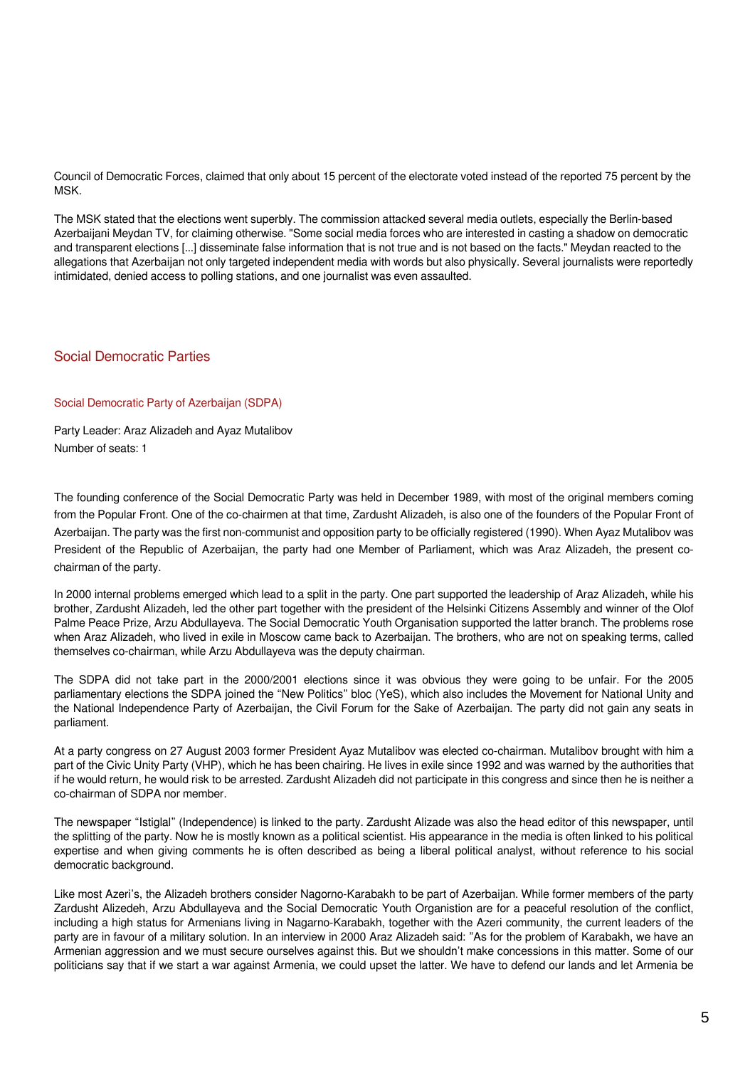Council of Democratic Forces, claimed that only about 15 percent of the electorate voted instead of the reported 75 percent by the MSK.

The MSK stated that the elections went superbly. The commission attacked several media outlets, especially the Berlin-based Azerbaijani Meydan TV, for claiming otherwise. "Some social media forces who are interested in casting a shadow on democratic and transparent elections [...] disseminate false information that is not true and is not based on the facts." Meydan reacted to the allegations that Azerbaijan not only targeted independent media with words but also physically. Several journalists were reportedly intimidated, denied access to polling stations, and one journalist was even assaulted.

# Social Democratic Parties

### Social Democratic Party of Azerbaijan (SDPA)

Party Leader: Araz Alizadeh and Ayaz Mutalibov Number of seats: 1

The founding conference of the Social Democratic Party was held in December 1989, with most of the original members coming from the Popular Front. One of the co-chairmen at that time, Zardusht Alizadeh, is also one of the founders of the Popular Front of Azerbaijan. The party was the first non-communist and opposition party to be officially registered (1990). When Ayaz Mutalibov was President of the Republic of Azerbaijan, the party had one Member of Parliament, which was Araz Alizadeh, the present cochairman of the party.

In 2000 internal problems emerged which lead to a split in the party. One part supported the leadership of Araz Alizadeh, while his brother, Zardusht Alizadeh, led the other part together with the president of the Helsinki Citizens Assembly and winner of the Olof Palme Peace Prize, Arzu Abdullayeva. The Social Democratic Youth Organisation supported the latter branch. The problems rose when Araz Alizadeh, who lived in exile in Moscow came back to Azerbaijan. The brothers, who are not on speaking terms, called themselves co-chairman, while Arzu Abdullayeva was the deputy chairman.

The SDPA did not take part in the 2000/2001 elections since it was obvious they were going to be unfair. For the 2005 parliamentary elections the SDPA joined the "New Politics" bloc (YeS), which also includes the Movement for National Unity and the National Independence Party of Azerbaijan, the Civil Forum for the Sake of Azerbaijan. The party did not gain any seats in parliament.

At a party congress on 27 August 2003 former President Ayaz Mutalibov was elected co-chairman. Mutalibov brought with him a part of the Civic Unity Party (VHP), which he has been chairing. He lives in exile since 1992 and was warned by the authorities that if he would return, he would risk to be arrested. Zardusht Alizadeh did not participate in this congress and since then he is neither a co-chairman of SDPA nor member.

The newspaper "Istiglal" (Independence) is linked to the party. Zardusht Alizade was also the head editor of this newspaper, until the splitting of the party. Now he is mostly known as a political scientist. His appearance in the media is often linked to his political expertise and when giving comments he is often described as being a liberal political analyst, without reference to his social democratic background.

Like most Azeri's, the Alizadeh brothers consider Nagorno-Karabakh to be part of Azerbaijan. While former members of the party Zardusht Alizedeh, Arzu Abdullayeva and the Social Democratic Youth Organistion are for a peaceful resolution of the conflict, including a high status for Armenians living in Nagarno-Karabakh, together with the Azeri community, the current leaders of the party are in favour of a military solution. In an interview in 2000 Araz Alizadeh said: "As for the problem of Karabakh, we have an Armenian aggression and we must secure ourselves against this. But we shouldn't make concessions in this matter. Some of our politicians say that if we start a war against Armenia, we could upset the latter. We have to defend our lands and let Armenia be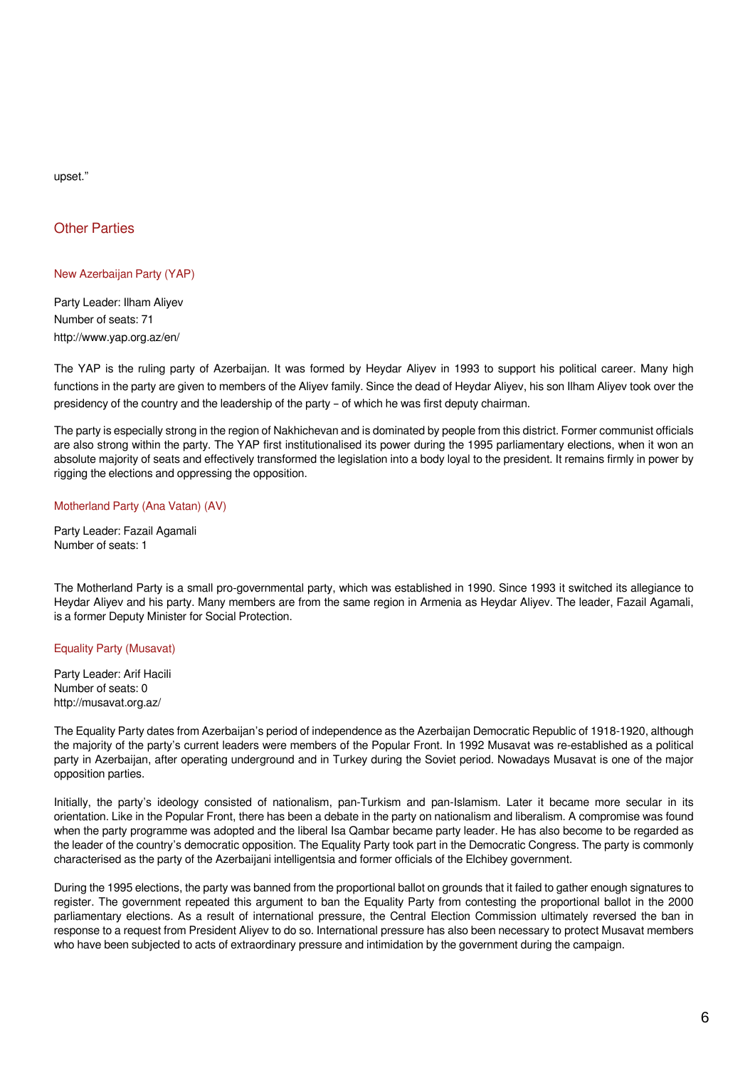upset."

# Other Parties

# New Azerbaijan Party (YAP)

Party Leader: Ilham Aliyev Number of seats: 71 http://www.yap.org.az/en/

The YAP is the ruling party of Azerbaijan. It was formed by Heydar Aliyev in 1993 to support his political career. Many high functions in the party are given to members of the Aliyev family. Since the dead of Heydar Aliyev, his son Ilham Aliyev took over the presidency of the country and the leadership of the party – of which he was first deputy chairman.

The party is especially strong in the region of Nakhichevan and is dominated by people from this district. Former communist officials are also strong within the party. The YAP first institutionalised its power during the 1995 parliamentary elections, when it won an absolute majority of seats and effectively transformed the legislation into a body loyal to the president. It remains firmly in power by rigging the elections and oppressing the opposition.

## Motherland Party (Ana Vatan) (AV)

Party Leader: Fazail Agamali Number of seats: 1

The Motherland Party is a small pro-governmental party, which was established in 1990. Since 1993 it switched its allegiance to Heydar Aliyev and his party. Many members are from the same region in Armenia as Heydar Aliyev. The leader, Fazail Agamali, is a former Deputy Minister for Social Protection.

## Equality Party (Musavat)

Party Leader: Arif Hacili Number of seats: 0 http://musavat.org.az/

The Equality Party dates from Azerbaijan's period of independence as the Azerbaijan Democratic Republic of 1918-1920, although the majority of the party's current leaders were members of the Popular Front. In 1992 Musavat was re-established as a political party in Azerbaijan, after operating underground and in Turkey during the Soviet period. Nowadays Musavat is one of the major opposition parties.

Initially, the party's ideology consisted of nationalism, pan-Turkism and pan-Islamism. Later it became more secular in its orientation. Like in the Popular Front, there has been a debate in the party on nationalism and liberalism. A compromise was found when the party programme was adopted and the liberal Isa Qambar became party leader. He has also become to be regarded as the leader of the country's democratic opposition. The Equality Party took part in the Democratic Congress. The party is commonly characterised as the party of the Azerbaijani intelligentsia and former officials of the Elchibey government.

During the 1995 elections, the party was banned from the proportional ballot on grounds that it failed to gather enough signatures to register. The government repeated this argument to ban the Equality Party from contesting the proportional ballot in the 2000 parliamentary elections. As a result of international pressure, the Central Election Commission ultimately reversed the ban in response to a request from President Aliyev to do so. International pressure has also been necessary to protect Musavat members who have been subjected to acts of extraordinary pressure and intimidation by the government during the campaign.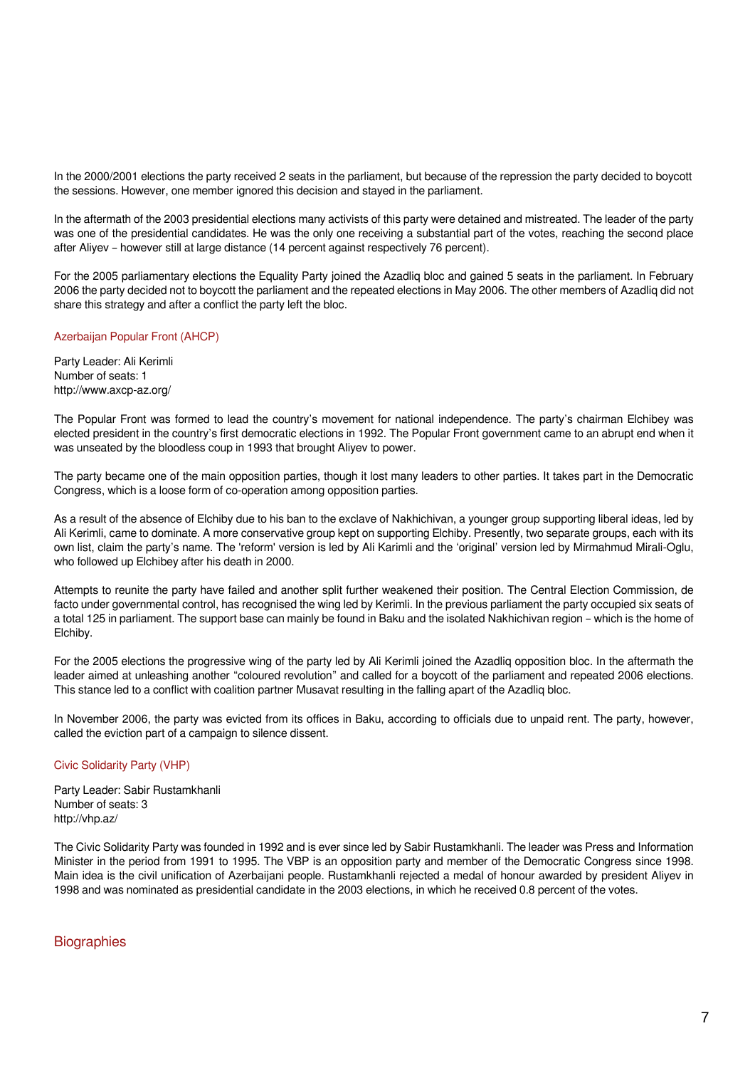In the 2000/2001 elections the party received 2 seats in the parliament, but because of the repression the party decided to boycott the sessions. However, one member ignored this decision and stayed in the parliament.

In the aftermath of the 2003 presidential elections many activists of this party were detained and mistreated. The leader of the party was one of the presidential candidates. He was the only one receiving a substantial part of the votes, reaching the second place after Aliyev – however still at large distance (14 percent against respectively 76 percent).

For the 2005 parliamentary elections the Equality Party joined the Azadliq bloc and gained 5 seats in the parliament. In February 2006 the party decided not to boycott the parliament and the repeated elections in May 2006. The other members of Azadliq did not share this strategy and after a conflict the party left the bloc.

## Azerbaijan Popular Front (AHCP)

Party Leader: Ali Kerimli Number of seats: 1 http://www.axcp-az.org/

The Popular Front was formed to lead the country's movement for national independence. The party's chairman Elchibey was elected president in the country's first democratic elections in 1992. The Popular Front government came to an abrupt end when it was unseated by the bloodless coup in 1993 that brought Aliyev to power.

The party became one of the main opposition parties, though it lost many leaders to other parties. It takes part in the Democratic Congress, which is a loose form of co-operation among opposition parties.

As a result of the absence of Elchiby due to his ban to the exclave of Nakhichivan, a younger group supporting liberal ideas, led by Ali Kerimli, came to dominate. A more conservative group kept on supporting Elchiby. Presently, two separate groups, each with its own list, claim the party's name. The 'reform' version is led by Ali Karimli and the 'original' version led by Mirmahmud Mirali-Oglu, who followed up Elchibey after his death in 2000.

Attempts to reunite the party have failed and another split further weakened their position. The Central Election Commission, de facto under governmental control, has recognised the wing led by Kerimli. In the previous parliament the party occupied six seats of a total 125 in parliament. The support base can mainly be found in Baku and the isolated Nakhichivan region – which is the home of Elchiby.

For the 2005 elections the progressive wing of the party led by Ali Kerimli joined the Azadliq opposition bloc. In the aftermath the leader aimed at unleashing another "coloured revolution" and called for a boycott of the parliament and repeated 2006 elections. This stance led to a conflict with coalition partner Musavat resulting in the falling apart of the Azadliq bloc.

In November 2006, the party was evicted from its offices in Baku, according to officials due to unpaid rent. The party, however, called the eviction part of a campaign to silence dissent.

## Civic Solidarity Party (VHP)

Party Leader: Sabir Rustamkhanli Number of seats: 3 http://vhp.az/

The Civic Solidarity Party was founded in 1992 and is ever since led by Sabir Rustamkhanli. The leader was Press and Information Minister in the period from 1991 to 1995. The VBP is an opposition party and member of the Democratic Congress since 1998. Main idea is the civil unification of Azerbaijani people. Rustamkhanli rejected a medal of honour awarded by president Aliyev in 1998 and was nominated as presidential candidate in the 2003 elections, in which he received 0.8 percent of the votes.

# **Biographies**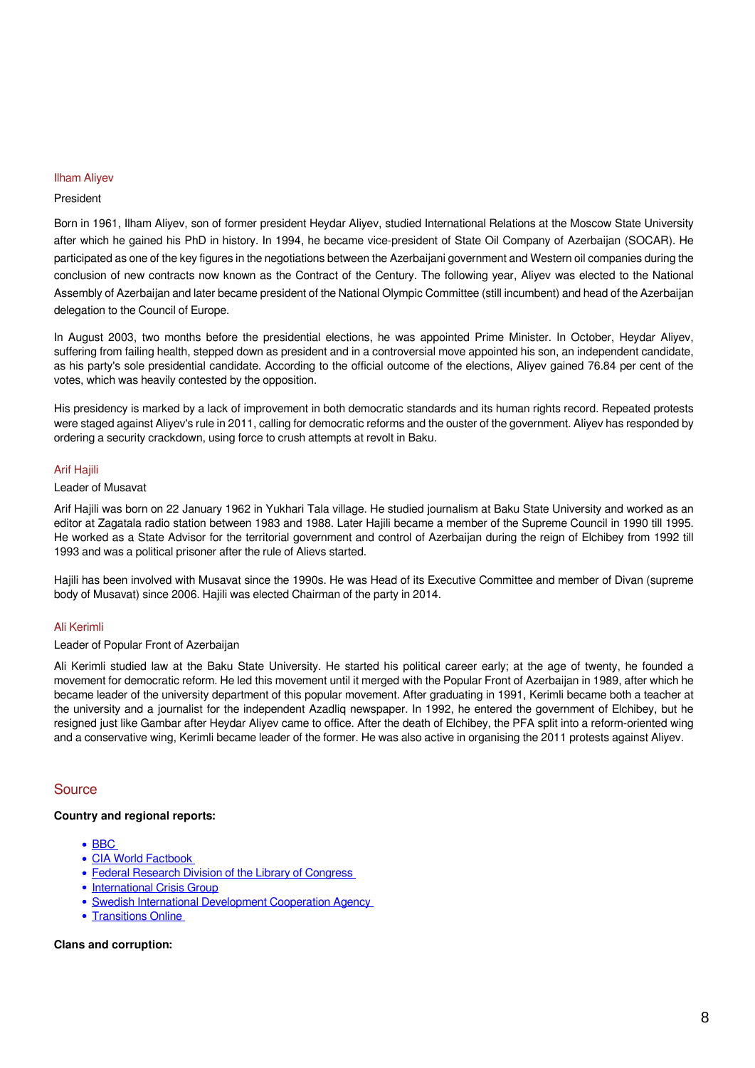## Ilham Aliyev

### President

Born in 1961, Ilham Aliyev, son of former president Heydar Aliyev, studied International Relations at the Moscow State University after which he gained his PhD in history. In 1994, he became vice-president of State Oil Company of Azerbaijan (SOCAR). He participated as one of the key figures in the negotiations between the Azerbaijani government and Western oil companies during the conclusion of new contracts now known as the Contract of the Century. The following year, Aliyev was elected to the National Assembly of Azerbaijan and later became president of the National Olympic Committee (still incumbent) and head of the Azerbaijan delegation to the Council of Europe.

In August 2003, two months before the presidential elections, he was appointed Prime Minister. In October, Heydar Aliyev, suffering from failing health, stepped down as president and in a controversial move appointed his son, an independent candidate, as his party's sole presidential candidate. According to the official outcome of the elections, Aliyev gained 76.84 per cent of the votes, which was heavily contested by the opposition.

His presidency is marked by a lack of improvement in both democratic standards and its human rights record. Repeated protests were staged against Aliyev's rule in 2011, calling for democratic reforms and the ouster of the government. Aliyev has responded by ordering a security crackdown, using force to crush attempts at revolt in Baku.

### Arif Hajili

### Leader of Musavat

Arif Hajili was born on 22 January 1962 in Yukhari Tala village. He studied journalism at Baku State University and worked as an editor at Zagatala radio station between 1983 and 1988. Later Hajili became a member of the Supreme Council in 1990 till 1995. He worked as a State Advisor for the territorial government and control of Azerbaijan during the reign of Elchibey from 1992 till 1993 and was a political prisoner after the rule of Alievs started.

Hajili has been involved with Musavat since the 1990s. He was Head of its Executive Committee and member of Divan (supreme body of Musavat) since 2006. Hajili was elected Chairman of the party in 2014.

### Ali Kerimli

# Leader of Popular Front of Azerbaijan

Ali Kerimli studied law at the Baku State University. He started his political career early; at the age of twenty, he founded a movement for democratic reform. He led this movement until it merged with the Popular Front of Azerbaijan in 1989, after which he became leader of the university department of this popular movement. After graduating in 1991, Kerimli became both a teacher at the university and a journalist for the independent Azadliq newspaper. In 1992, he entered the government of Elchibey, but he resigned just like Gambar after Heydar Aliyev came to office. After the death of Elchibey, the PFA split into a reform-oriented wing and a conservative wing, Kerimli became leader of the former. He was also active in organising the 2011 protests against Aliyev.

## **Source**

## **Country and regional reports:**

- $\cdot$  BBC
- CIA World Factbook
- Federal Research Division of the Library of Congress
- [International Crisis Group](http://www.crisisweb.org//library/documents/europe/caucasus/156_azerbaijan_turning_over_a_new_leaf.pdf)
- Swedish International Development Cooperation Agency
- Transitions Online

### **Clans and corruption:**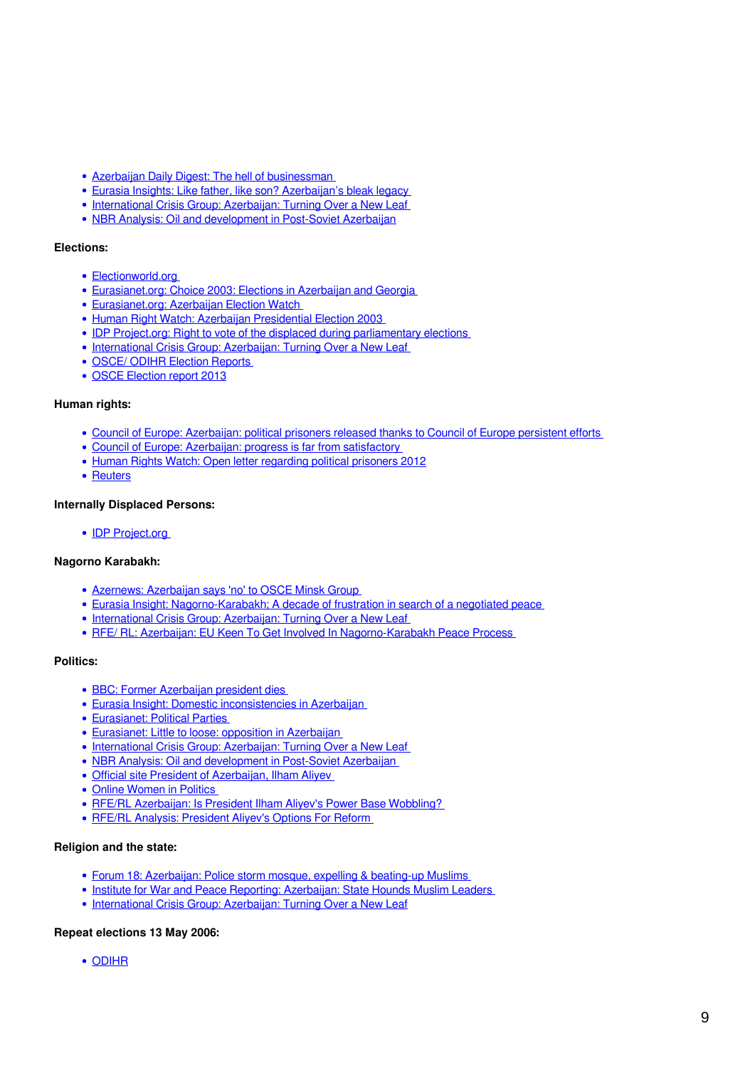- Azerbaijan Daily Digest: The hell of businessman
- [Eurasia Insights: Like father, like son? Azerbaijan's bleak legacy](http://www.eurasianet.org/departments/insight/articles/eav122303.shtml)
- [International Crisis Group: Azerbaijan: Turning Over a New Leaf](http://www.crisisweb.org//library/documents/europe/caucasus/156_azerbaijan_turning_over_a_new_leaf.pdf)
- [NBR Analysis: Oil and development in Post-Soviet Azerbaijan](http://www.nbr.org/publications/analysis/vol10no3/v10n3.pdf)

### **Elections:**

- Flectionworld.org
- [Eurasianet.org: Choice 2003: Elections in Azerbaijan and Georgia](http://www.eurasianet.org/election2003/index.shtml)
- [Eurasianet.org: Azerbaijan Election Watch](http://www.eurasianet.org/departments/election/azerbaijan/index.shtml)
- Human Right Watch: Azerbaijan Presidential Election 2003
- **IDP Project.org: Right to vote of the displaced during parliamentary elections**
- [International Crisis Group: Azerbaijan: Turning Over a New Leaf](http://www.crisisweb.org//library/documents/europe/caucasus/156_azerbaijan_turning_over_a_new_leaf.pdf)
- OSCE/ ODIHR Election Reports
- [OSCE Election report 2013](http://www.osce.org/odihr/elections/106908)

### **Human rights:**

- [Council of Europe: Azerbaijan: political prisoners released thanks to Council of Europe persistent efforts](http://press.coe.int/cp/2004/140a%282004%29.htm)
- Council of Europe: Azerbaijan: progress is far from satisfactory
- [Human Rights Watch: Open letter regarding political prisoners 2012](http://www.hrw.org/news/2012/06/22/azerbaijan-open-letter-regarding-political-prisoners)
- [Reuters](http://uk.reuters.com/article/2013/10/01/uk-azerbaijan-rights-idUKBRE9900IQ20131001)

### **Internally Displaced Persons:**

• **IDP Project.org** 

### **Nagorno Karabakh:**

- Azernews: Azerbaijan says 'no' to OSCE Minsk Group
- [Eurasia Insight: Nagorno-Karabakh; A decade of frustration in search of a negotiated peace](http://www.eurasianet.org/departments/insight/articles/eav051204.shtml)
- International Crisis Group: Azerbaijan: Turning Over a New Leaf
- [RFE/ RL: Azerbaijan: EU Keen To Get Involved In Nagorno-Karabakh Peace Process](http://www.rferl.org/featuresarticle/2004/05/eb7f1066-168a-4d3c-80e5-f5efb940ff52.html)

## **Politics:**

- **BBC: Former Azerbaijan president dies**
- [Eurasia Insight: Domestic inconsistencies in Azerbaijan](http://www.eurasianet.org/departments/insight/articles/pp32104.shtml)
- [Eurasianet: Political Parties](http://www.eurasianet.org/departments/election/azerbaijan/azparties.html)
- [Eurasianet: Little to loose: opposition in Azerbaijan](http://www.eurasianet.org/departments/rights/articles/eav020303.shtml)
- International Crisis Group: Azerbaijan: Turning Over a New Leaf
- NBR Analysis: Oil and development in Post-Soviet Azerbaijan
- [Official site President of Azerbaijan, Ilham Aliyev](http://www.ilham-aliyev.org/index_e.html)
- Online Women in Politics
- RFE/RL Azerbaijan: Is President Ilham Aliyev's Power Base Wobbling?
- RFE/RL Analysis: President Aliyev's Options For Reform

### **Religion and the state:**

- Forum 18: Azerbaijan: Police storm mosque, expelling & beating-up Muslims
- Institute for War and Peace Reporting: Azerbaijan: State Hounds Muslim Leaders
- [International Crisis Group: Azerbaijan: Turning Over a New Leaf](http://www.crisisweb.org//library/documents/europe/caucasus/156_azerbaijan_turning_over_a_new_leaf.pdf)

### **Repeat elections 13 May 2006:**

[ODIHR](http://www.osce.org/documents/odihr/2006/06/19633_en.pdf)